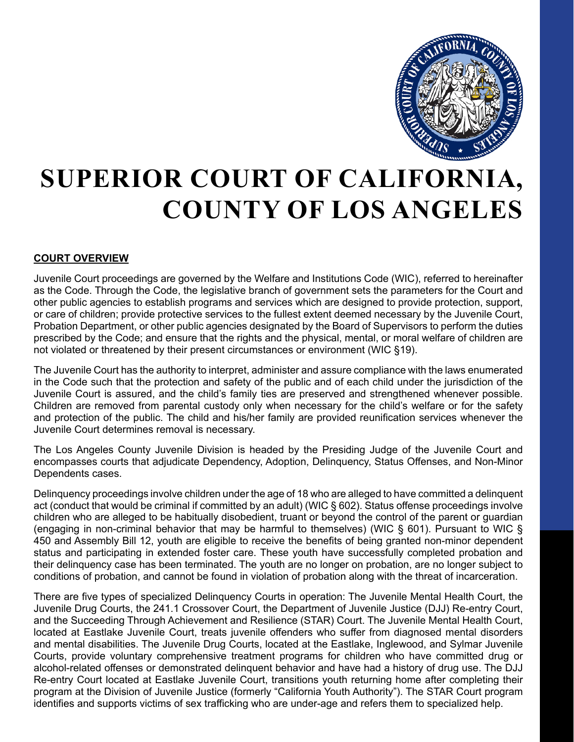

# **SUPERIOR COURT OF CALIFORNIA, COUNTY OF LOS ANGELES**

#### **COURT OVERVIEW**

Juvenile Court proceedings are governed by the Welfare and Institutions Code (WIC), referred to hereinafter as the Code. Through the Code, the legislative branch of government sets the parameters for the Court and other public agencies to establish programs and services which are designed to provide protection, support, or care of children; provide protective services to the fullest extent deemed necessary by the Juvenile Court, Probation Department, or other public agencies designated by the Board of Supervisors to perform the duties prescribed by the Code; and ensure that the rights and the physical, mental, or moral welfare of children are not violated or threatened by their present circumstances or environment (WIC §19).

The Juvenile Court has the authority to interpret, administer and assure compliance with the laws enumerated in the Code such that the protection and safety of the public and of each child under the jurisdiction of the Juvenile Court is assured, and the child's family ties are preserved and strengthened whenever possible. Children are removed from parental custody only when necessary for the child's welfare or for the safety and protection of the public. The child and his/her family are provided reunification services whenever the Juvenile Court determines removal is necessary.

The Los Angeles County Juvenile Division is headed by the Presiding Judge of the Juvenile Court and encompasses courts that adjudicate Dependency, Adoption, Delinquency, Status Offenses, and Non-Minor Dependents cases.

Delinquency proceedings involve children under the age of 18 who are alleged to have committed a delinquent act (conduct that would be criminal if committed by an adult) (WIC § 602). Status offense proceedings involve children who are alleged to be habitually disobedient, truant or beyond the control of the parent or guardian (engaging in non-criminal behavior that may be harmful to themselves) (WIC § 601). Pursuant to WIC § 450 and Assembly Bill 12, youth are eligible to receive the benefits of being granted non-minor dependent status and participating in extended foster care. These youth have successfully completed probation and their delinquency case has been terminated. The youth are no longer on probation, are no longer subject to conditions of probation, and cannot be found in violation of probation along with the threat of incarceration.

There are five types of specialized Delinquency Courts in operation: The Juvenile Mental Health Court, the Juvenile Drug Courts, the 241.1 Crossover Court, the Department of Juvenile Justice (DJJ) Re-entry Court, and the Succeeding Through Achievement and Resilience (STAR) Court. The Juvenile Mental Health Court, located at Eastlake Juvenile Court, treats juvenile offenders who suffer from diagnosed mental disorders and mental disabilities. The Juvenile Drug Courts, located at the Eastlake, Inglewood, and Sylmar Juvenile Courts, provide voluntary comprehensive treatment programs for children who have committed drug or alcohol-related offenses or demonstrated delinquent behavior and have had a history of drug use. The DJJ Re-entry Court located at Eastlake Juvenile Court, transitions youth returning home after completing their program at the Division of Juvenile Justice (formerly "California Youth Authority"). The STAR Court program identifies and supports victims of sex trafficking who are under-age and refers them to specialized help.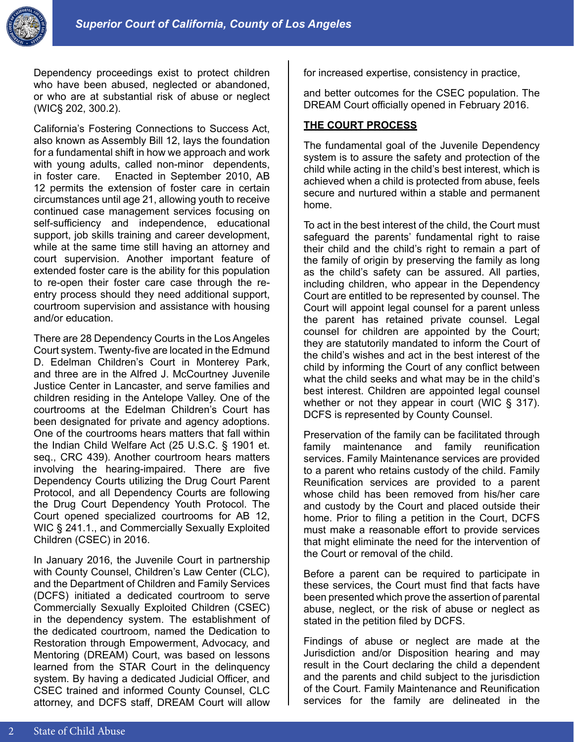

Dependency proceedings exist to protect children who have been abused, neglected or abandoned, or who are at substantial risk of abuse or neglect (WIC§ 202, 300.2).

California's Fostering Connections to Success Act, also known as Assembly Bill 12, lays the foundation for a fundamental shift in how we approach and work with young adults, called non-minor dependents, in foster care. Enacted in September 2010, AB 12 permits the extension of foster care in certain circumstances until age 21, allowing youth to receive continued case management services focusing on self-sufficiency and independence, educational support, job skills training and career development, while at the same time still having an attorney and court supervision. Another important feature of extended foster care is the ability for this population to re-open their foster care case through the reentry process should they need additional support, courtroom supervision and assistance with housing and/or education.

There are 28 Dependency Courts in the Los Angeles Court system. Twenty-five are located in the Edmund D. Edelman Children's Court in Monterey Park, and three are in the Alfred J. McCourtney Juvenile Justice Center in Lancaster, and serve families and children residing in the Antelope Valley. One of the courtrooms at the Edelman Children's Court has been designated for private and agency adoptions. One of the courtrooms hears matters that fall within the Indian Child Welfare Act (25 U.S.C. § 1901 et. seq., CRC 439). Another courtroom hears matters involving the hearing-impaired. There are five Dependency Courts utilizing the Drug Court Parent Protocol, and all Dependency Courts are following the Drug Court Dependency Youth Protocol. The Court opened specialized courtrooms for AB 12, WIC § 241.1., and Commercially Sexually Exploited Children (CSEC) in 2016.

In January 2016, the Juvenile Court in partnership with County Counsel, Children's Law Center (CLC), and the Department of Children and Family Services (DCFS) initiated a dedicated courtroom to serve Commercially Sexually Exploited Children (CSEC) in the dependency system. The establishment of the dedicated courtroom, named the Dedication to Restoration through Empowerment, Advocacy, and Mentoring (DREAM) Court, was based on lessons learned from the STAR Court in the delinquency system. By having a dedicated Judicial Officer, and CSEC trained and informed County Counsel, CLC attorney, and DCFS staff, DREAM Court will allow

for increased expertise, consistency in practice,

and better outcomes for the CSEC population. The DREAM Court officially opened in February 2016.

#### **THE COURT PROCESS**

The fundamental goal of the Juvenile Dependency system is to assure the safety and protection of the child while acting in the child's best interest, which is achieved when a child is protected from abuse, feels secure and nurtured within a stable and permanent home.

To act in the best interest of the child, the Court must safeguard the parents' fundamental right to raise their child and the child's right to remain a part of the family of origin by preserving the family as long as the child's safety can be assured. All parties, including children, who appear in the Dependency Court are entitled to be represented by counsel. The Court will appoint legal counsel for a parent unless the parent has retained private counsel. Legal counsel for children are appointed by the Court; they are statutorily mandated to inform the Court of the child's wishes and act in the best interest of the child by informing the Court of any conflict between what the child seeks and what may be in the child's best interest. Children are appointed legal counsel whether or not they appear in court (WIC § 317). DCFS is represented by County Counsel.

Preservation of the family can be facilitated through family maintenance and family reunification services. Family Maintenance services are provided to a parent who retains custody of the child. Family Reunification services are provided to a parent whose child has been removed from his/her care and custody by the Court and placed outside their home. Prior to filing a petition in the Court, DCFS must make a reasonable effort to provide services that might eliminate the need for the intervention of the Court or removal of the child.

Before a parent can be required to participate in these services, the Court must find that facts have been presented which prove the assertion of parental abuse, neglect, or the risk of abuse or neglect as stated in the petition filed by DCFS.

Findings of abuse or neglect are made at the Jurisdiction and/or Disposition hearing and may result in the Court declaring the child a dependent and the parents and child subject to the jurisdiction of the Court. Family Maintenance and Reunification services for the family are delineated in the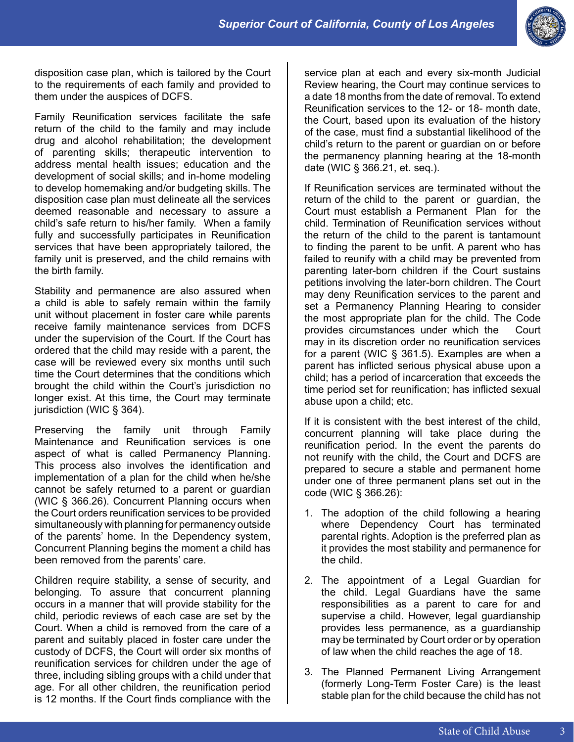

disposition case plan, which is tailored by the Court to the requirements of each family and provided to them under the auspices of DCFS.

Family Reunification services facilitate the safe return of the child to the family and may include drug and alcohol rehabilitation; the development of parenting skills; therapeutic intervention to address mental health issues; education and the development of social skills; and in-home modeling to develop homemaking and/or budgeting skills. The disposition case plan must delineate all the services deemed reasonable and necessary to assure a child's safe return to his/her family. When a family fully and successfully participates in Reunification services that have been appropriately tailored, the family unit is preserved, and the child remains with the birth family.

Stability and permanence are also assured when a child is able to safely remain within the family unit without placement in foster care while parents receive family maintenance services from DCFS under the supervision of the Court. If the Court has ordered that the child may reside with a parent, the case will be reviewed every six months until such time the Court determines that the conditions which brought the child within the Court's jurisdiction no longer exist. At this time, the Court may terminate jurisdiction (WIC § 364).

Preserving the family unit through Family Maintenance and Reunification services is one aspect of what is called Permanency Planning. This process also involves the identification and implementation of a plan for the child when he/she cannot be safely returned to a parent or guardian (WIC § 366.26). Concurrent Planning occurs when the Court orders reunification services to be provided simultaneously with planning for permanency outside of the parents' home. In the Dependency system, Concurrent Planning begins the moment a child has been removed from the parents' care.

Children require stability, a sense of security, and belonging. To assure that concurrent planning occurs in a manner that will provide stability for the child, periodic reviews of each case are set by the Court. When a child is removed from the care of a parent and suitably placed in foster care under the custody of DCFS, the Court will order six months of reunification services for children under the age of three, including sibling groups with a child under that age. For all other children, the reunification period is 12 months. If the Court finds compliance with the service plan at each and every six-month Judicial Review hearing, the Court may continue services to a date 18 months from the date of removal. To extend Reunification services to the 12- or 18- month date, the Court, based upon its evaluation of the history of the case, must find a substantial likelihood of the child's return to the parent or guardian on or before the permanency planning hearing at the 18-month date (WIC § 366.21, et. seq.).

If Reunification services are terminated without the return of the child to the parent or guardian, the Court must establish a Permanent Plan for the child. Termination of Reunification services without the return of the child to the parent is tantamount to finding the parent to be unfit. A parent who has failed to reunify with a child may be prevented from parenting later-born children if the Court sustains petitions involving the later-born children. The Court may deny Reunification services to the parent and set a Permanency Planning Hearing to consider the most appropriate plan for the child. The Code provides circumstances under which the Court may in its discretion order no reunification services for a parent (WIC § 361.5). Examples are when a parent has inflicted serious physical abuse upon a child; has a period of incarceration that exceeds the time period set for reunification; has inflicted sexual abuse upon a child; etc.

If it is consistent with the best interest of the child, concurrent planning will take place during the reunification period. In the event the parents do not reunify with the child, the Court and DCFS are prepared to secure a stable and permanent home under one of three permanent plans set out in the code (WIC § 366.26):

- 1. The adoption of the child following a hearing where Dependency Court has terminated parental rights. Adoption is the preferred plan as it provides the most stability and permanence for the child.
- 2. The appointment of a Legal Guardian for the child. Legal Guardians have the same responsibilities as a parent to care for and supervise a child. However, legal guardianship provides less permanence, as a guardianship may be terminated by Court order or by operation of law when the child reaches the age of 18.
- 3. The Planned Permanent Living Arrangement (formerly Long-Term Foster Care) is the least stable plan for the child because the child has not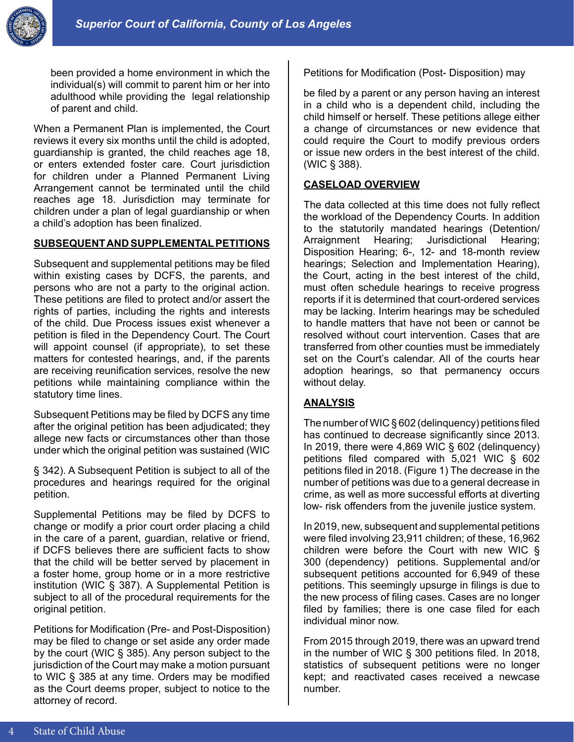

been provided a home environment in which the individual(s) will commit to parent him or her into adulthood while providing the legal relationship of parent and child.

When a Permanent Plan is implemented, the Court reviews it every six months until the child is adopted, guardianship is granted, the child reaches age 18, or enters extended foster care. Court jurisdiction for children under a Planned Permanent Living Arrangement cannot be terminated until the child reaches age 18. Jurisdiction may terminate for children under a plan of legal guardianship or when a child's adoption has been finalized.

## **SUBSEQUENT AND SUPPLEMENTAL PETITIONS**

Subsequent and supplemental petitions may be filed within existing cases by DCFS, the parents, and persons who are not a party to the original action. These petitions are filed to protect and/or assert the rights of parties, including the rights and interests of the child. Due Process issues exist whenever a petition is filed in the Dependency Court. The Court will appoint counsel (if appropriate), to set these matters for contested hearings, and, if the parents are receiving reunification services, resolve the new petitions while maintaining compliance within the statutory time lines.

Subsequent Petitions may be filed by DCFS any time after the original petition has been adjudicated; they allege new facts or circumstances other than those under which the original petition was sustained (WIC

§ 342). A Subsequent Petition is subject to all of the procedures and hearings required for the original petition.

Supplemental Petitions may be filed by DCFS to change or modify a prior court order placing a child in the care of a parent, guardian, relative or friend, if DCFS believes there are sufficient facts to show that the child will be better served by placement in a foster home, group home or in a more restrictive institution (WIC § 387). A Supplemental Petition is subject to all of the procedural requirements for the original petition.

Petitions for Modification (Pre- and Post-Disposition) may be filed to change or set aside any order made by the court (WIC § 385). Any person subject to the jurisdiction of the Court may make a motion pursuant to WIC § 385 at any time. Orders may be modified as the Court deems proper, subject to notice to the attorney of record.

Petitions for Modification (Post- Disposition) may

be filed by a parent or any person having an interest in a child who is a dependent child, including the child himself or herself. These petitions allege either a change of circumstances or new evidence that could require the Court to modify previous orders or issue new orders in the best interest of the child. (WIC § 388).

#### **CASELOAD OVERVIEW**

The data collected at this time does not fully reflect the workload of the Dependency Courts. In addition to the statutorily mandated hearings (Detention/ Arraignment Hearing; Jurisdictional Hearing; Disposition Hearing; 6-, 12- and 18-month review hearings; Selection and Implementation Hearing), the Court, acting in the best interest of the child, must often schedule hearings to receive progress reports if it is determined that court-ordered services may be lacking. Interim hearings may be scheduled to handle matters that have not been or cannot be resolved without court intervention. Cases that are transferred from other counties must be immediately set on the Court's calendar. All of the courts hear adoption hearings, so that permanency occurs without delay.

## **ANALYSIS**

The number of WIC § 602 (delinquency) petitions filed has continued to decrease significantly since 2013. In 2019, there were 4,869 WIC § 602 (delinquency) petitions filed compared with 5,021 WIC § 602 petitions filed in 2018. (Figure 1) The decrease in the number of petitions was due to a general decrease in crime, as well as more successful efforts at diverting low- risk offenders from the juvenile justice system.

In 2019, new, subsequent and supplemental petitions were filed involving 23,911 children; of these, 16,962 children were before the Court with new WIC § 300 (dependency) petitions. Supplemental and/or subsequent petitions accounted for 6,949 of these petitions. This seemingly upsurge in filings is due to the new process of filing cases. Cases are no longer filed by families; there is one case filed for each individual minor now.

From 2015 through 2019, there was an upward trend in the number of WIC § 300 petitions filed. In 2018, statistics of subsequent petitions were no longer kept; and reactivated cases received a newcase number.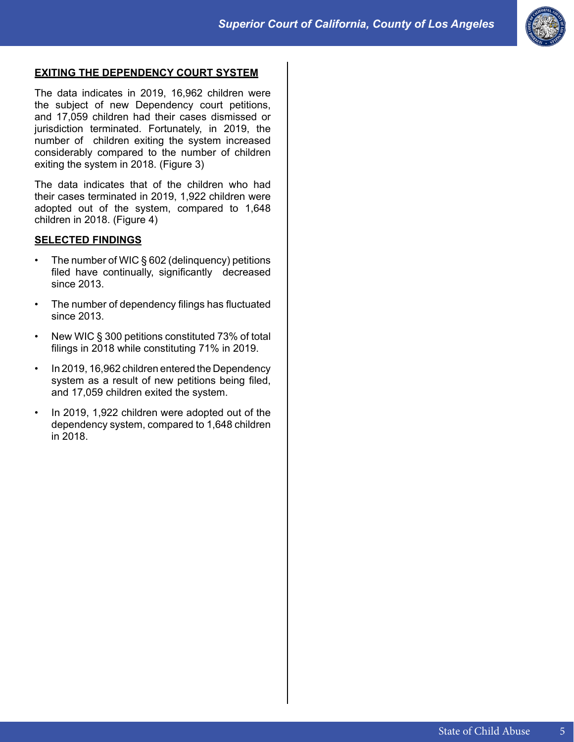

# **EXITING THE DEPENDENCY COURT SYSTEM**

The data indicates in 2019, 16,962 children were the subject of new Dependency court petitions, and 17,059 children had their cases dismissed or jurisdiction terminated. Fortunately, in 2019, the number of children exiting the system increased considerably compared to the number of children exiting the system in 2018. (Figure 3)

The data indicates that of the children who had their cases terminated in 2019, 1,922 children were adopted out of the system, compared to 1,648 children in 2018. (Figure 4)

# **SELECTED FINDINGS**

- The number of WIC § 602 (delinquency) petitions filed have continually, significantly decreased since 2013.
- The number of dependency filings has fluctuated since 2013.
- New WIC § 300 petitions constituted 73% of total filings in 2018 while constituting 71% in 2019.
- In 2019, 16,962 children entered the Dependency system as a result of new petitions being filed, and 17,059 children exited the system.
- In 2019, 1,922 children were adopted out of the dependency system, compared to 1,648 children in 2018.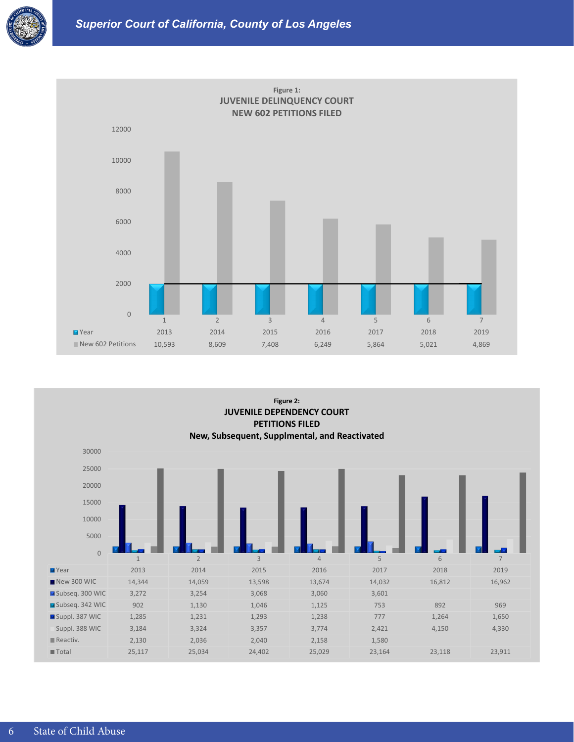



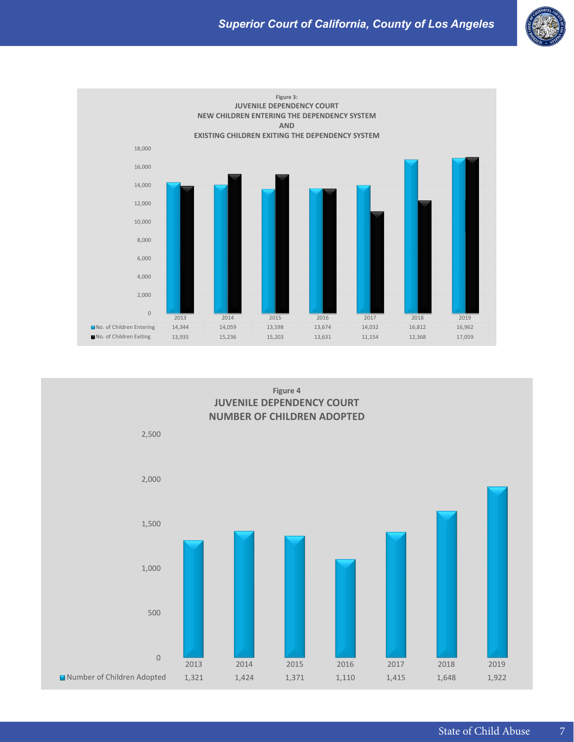



**Figure 4 JUVENILE DEPENDENCY COURT NUMBER OF CHILDREN ADOPTED**